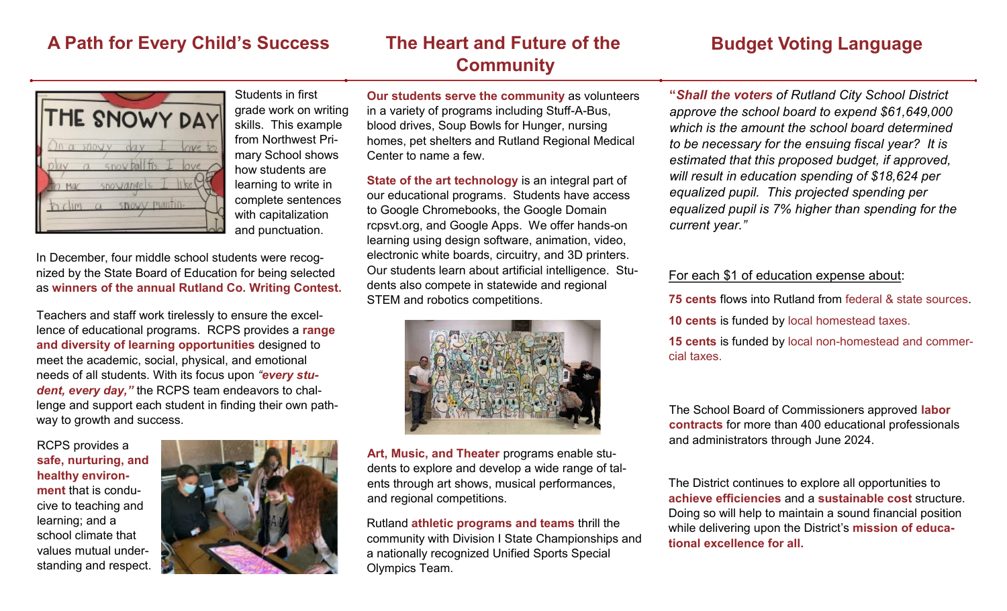### **A Path for Every Child's Success The Heart and Future of the Budget Voting Language**

# **Community**



Students in first grade work on writing skills. This example from Northwest Primary School shows how students are learning to write in complete sentences with capitalization and punctuation.

In December, four middle school students were recognized by the State Board of Education for being selected as **winners of the annual Rutland Co. Writing Contest.**

Teachers and staff work tirelessly to ensure the excellence of educational programs. RCPS provides a **range and diversity of learning opportunities** designed to meet the academic, social, physical, and emotional needs of all students. With its focus upon *"every student, every day,"* the RCPS team endeavors to challenge and support each student in finding their own pathway to growth and success.

RCPS provides a **safe, nurturing, and healthy environment** that is conducive to teaching and learning; and a school climate that values mutual understanding and respect.



**Our students serve the community** as volunteers in a variety of programs including Stuff-A-Bus, blood drives, Soup Bowls for Hunger, nursing homes, pet shelters and Rutland Regional Medical Center to name a few.

**State of the art technology** is an integral part of our educational programs. Students have access to Google Chromebooks, the Google Domain rcpsvt.org, and Google Apps. We offer hands-on learning using design software, animation, video, electronic white boards, circuitry, and 3D printers. Our students learn about artificial intelligence. Students also compete in statewide and regional STEM and robotics competitions.



**Art, Music, and Theater** programs enable students to explore and develop a wide range of talents through art shows, musical performances, and regional competitions.

Rutland **athletic programs and teams** thrill the community with Division I State Championships and a nationally recognized Unified Sports Special Olympics Team.

**"***Shall the voters of Rutland City School District approve the school board to expend \$61,649,000 which is the amount the school board determined to be necessary for the ensuing fiscal year? It is estimated that this proposed budget, if approved, will result in education spending of \$18,624 per equalized pupil. This projected spending per equalized pupil is 7% higher than spending for the current year."*

#### For each \$1 of education expense about:

**75 cents** flows into Rutland from federal & state sources.

**10 cents** is funded by local homestead taxes.

**15 cents** is funded by local non-homestead and commercial taxes.

The School Board of Commissioners approved **labor contracts** for more than 400 educational professionals and administrators through June 2024.

The District continues to explore all opportunities to **achieve efficiencies** and a **sustainable cost** structure. Doing so will help to maintain a sound financial position while delivering upon the District's **mission of educational excellence for all.**